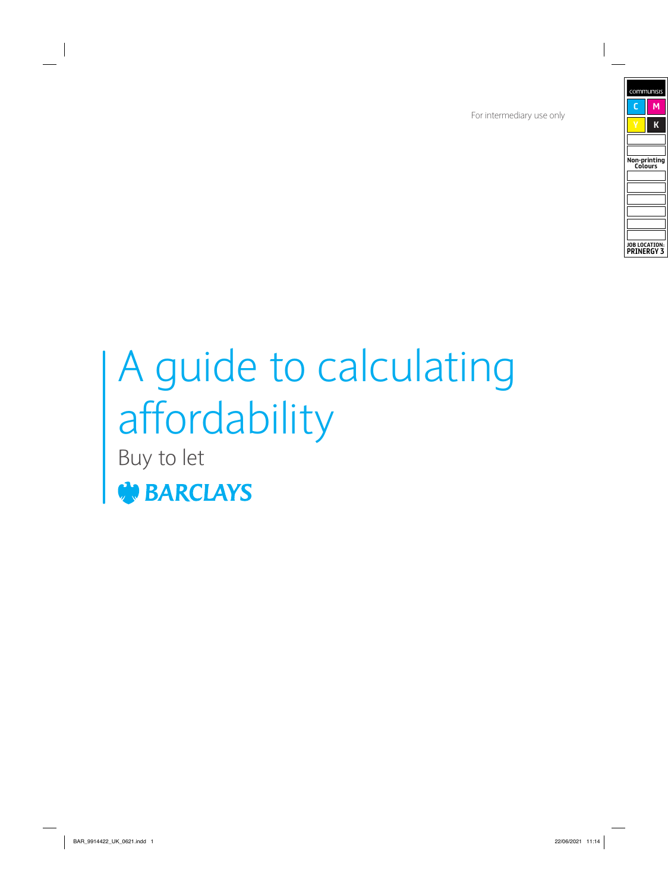For intermediary use only

# A guide to calculating affordability

Buy to let

**BARCLAYS**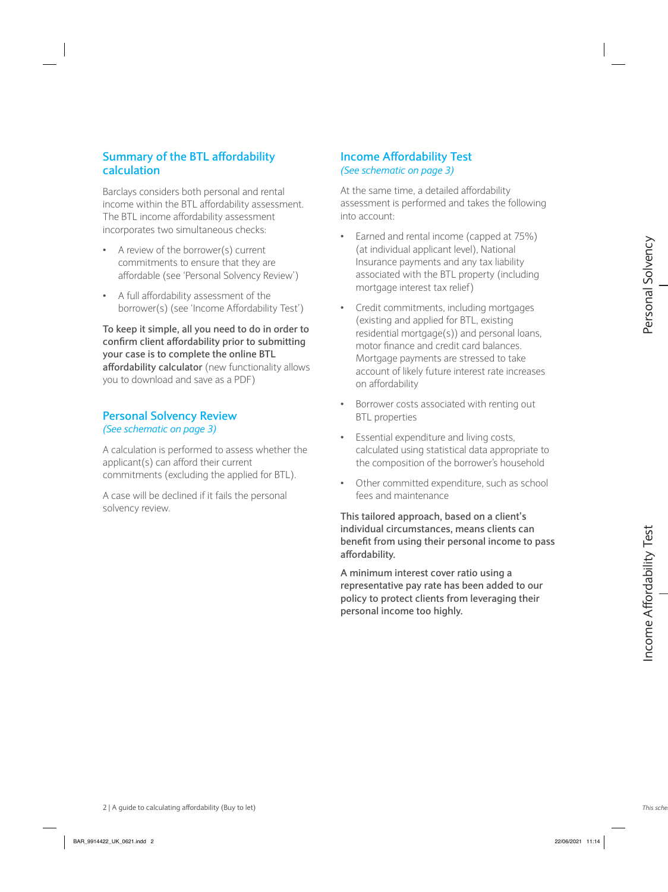### **Summary of the BTL affordability calculation**

Barclays considers both personal and rental income within the BTL affordability assessment. The BTL income affordability assessment incorporates two simultaneous checks:

- A review of the borrower(s) current commitments to ensure that they are affordable (see 'Personal Solvency Review')
- A full affordability assessment of the borrower(s) (see 'Income Affordability Test')

**To keep it simple, all you need to do in order to confirm client affordability prior to submitting your case is to complete the online BTL affordability calculator** (new functionality allows you to download and save as a PDF)

#### **Personal Solvency Review** *(See schematic on page 3)*

A calculation is performed to assess whether the applicant(s) can afford their current commitments (excluding the applied for BTL).

A case will be declined if it fails the personal solvency review.

#### **Income Affordability Test** *(See schematic on page 3)*

At the same time, a detailed affordability assessment is performed and takes the following into account:

- Earned and rental income (capped at 75%) (at individual applicant level), National Insurance payments and any tax liability associated with the BTL property (including mortgage interest tax relief)
- Credit commitments, including mortgages (existing and applied for BTL, existing residential mortgage(s)) and personal loans, motor finance and credit card balances. Mortgage payments are stressed to take account of likely future interest rate increases on affordability **A** expect the between to calculating the care of the between the calculation income and the calculation income Affordability (Buy to let) associated (See Theore Affordability Hest) and the calculation (See Theore Afforda
	- Borrower costs associated with renting out BTL properties
	- Essential expenditure and living costs, calculated using statistical data appropriate to the composition of the borrower's household
	- Other committed expenditure, such as school fees and maintenance

**This tailored approach, based on a client's individual circumstances, means clients can benefit from using their personal income to pass affordability.**

**A minimum interest cover ratio using a representative pay rate has been added to our policy to protect clients from leveraging their personal income too highly.**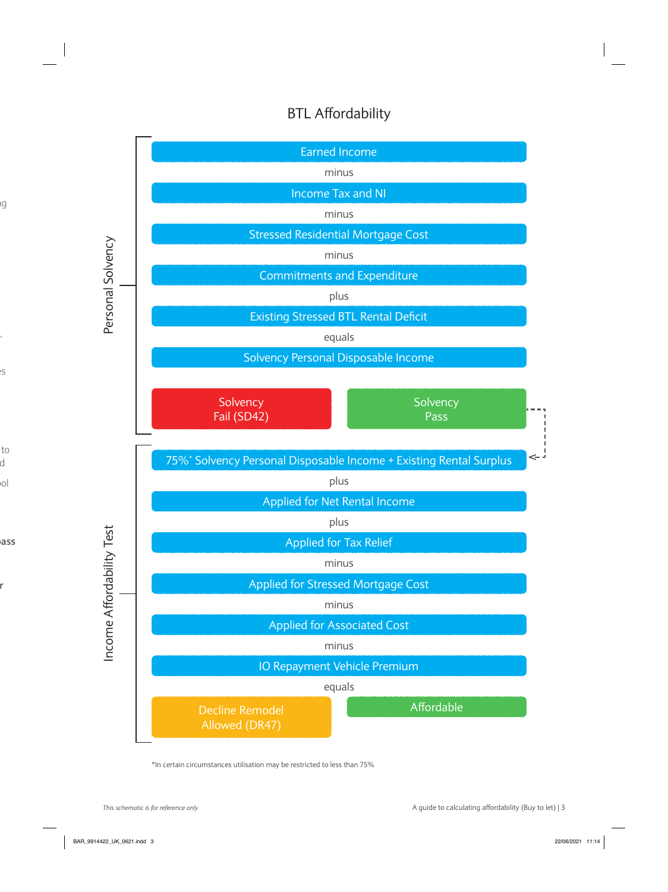# BTL Affordability



\*In certain circumstances utilisation may be restricted to less than 75%